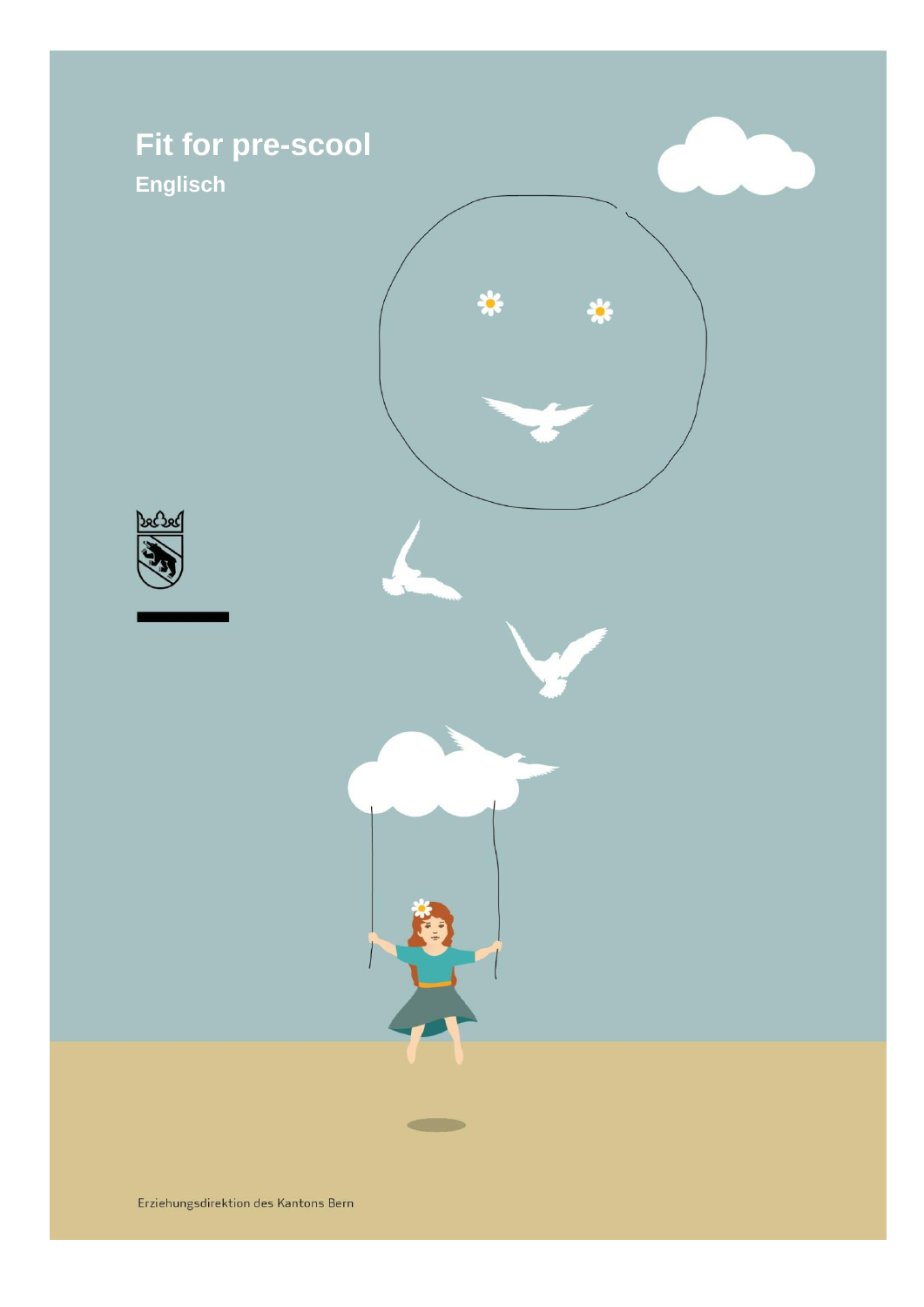

Erziehungsdirektion des Kantons Bern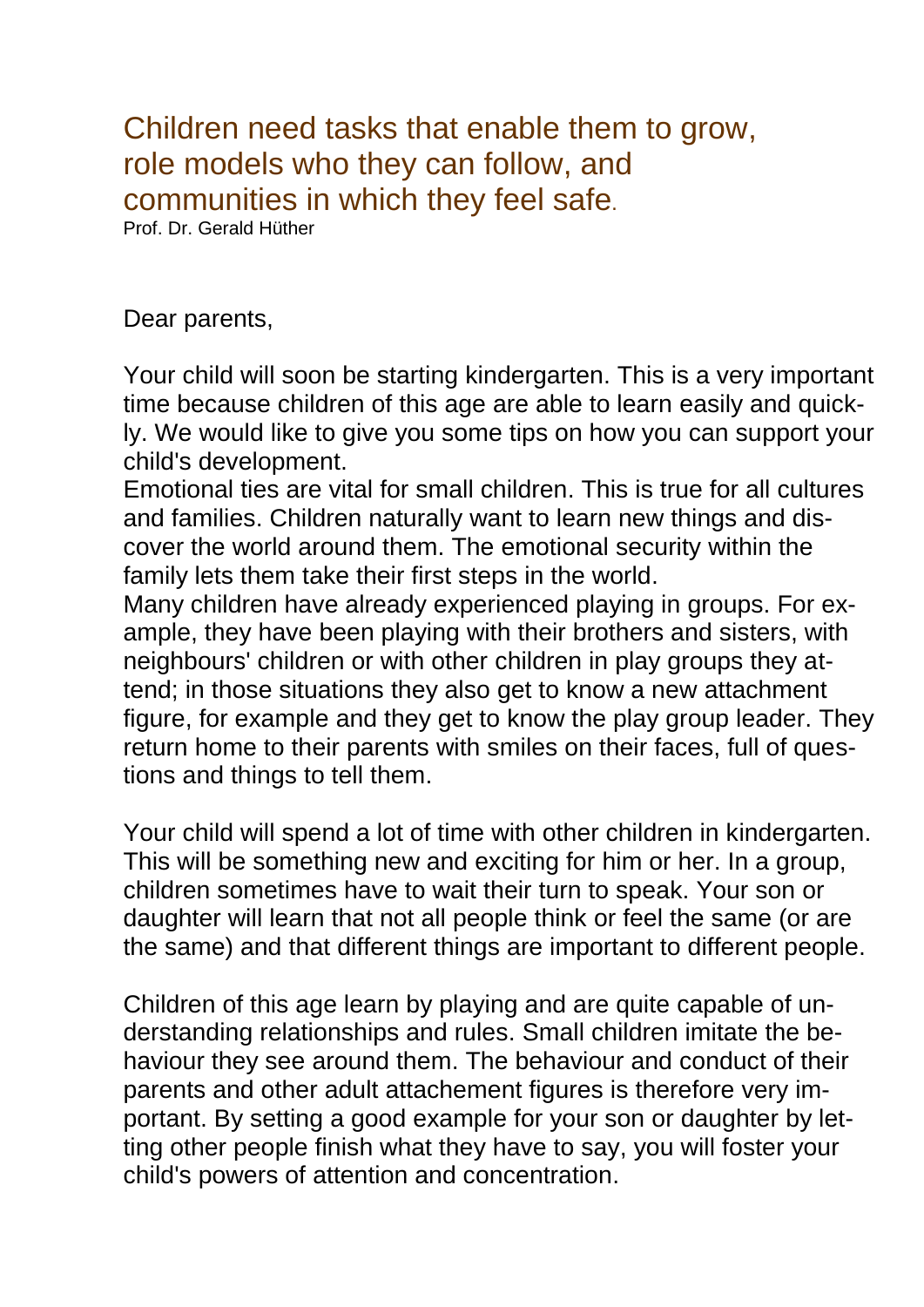# Children need tasks that enable them to grow, role models who they can follow, and communities in which they feel safe.

Prof. Dr. Gerald Hüther

Dear parents,

Your child will soon be starting kindergarten. This is a very important time because children of this age are able to learn easily and quickly. We would like to give you some tips on how you can support your child's development.

Emotional ties are vital for small children. This is true for all cultures and families. Children naturally want to learn new things and discover the world around them. The emotional security within the family lets them take their first steps in the world.

Many children have already experienced playing in groups. For example, they have been playing with their brothers and sisters, with neighbours' children or with other children in play groups they attend; in those situations they also get to know a new attachment figure, for example and they get to know the play group leader. They return home to their parents with smiles on their faces, full of questions and things to tell them.

Your child will spend a lot of time with other children in kindergarten. This will be something new and exciting for him or her. In a group, children sometimes have to wait their turn to speak. Your son or daughter will learn that not all people think or feel the same (or are the same) and that different things are important to different people.

Children of this age learn by playing and are quite capable of understanding relationships and rules. Small children imitate the behaviour they see around them. The behaviour and conduct of their parents and other adult attachement figures is therefore very important. By setting a good example for your son or daughter by letting other people finish what they have to say, you will foster your child's powers of attention and concentration.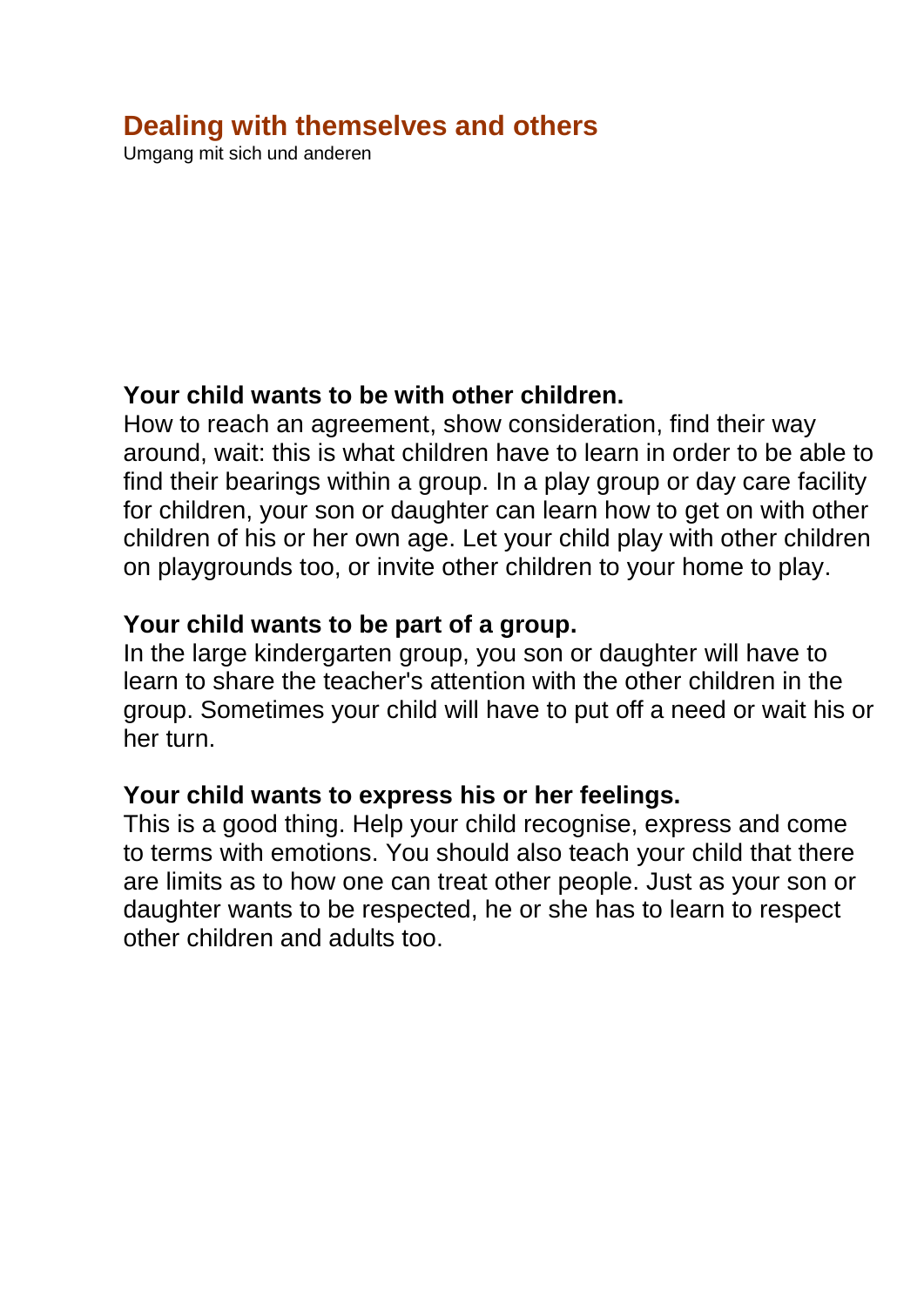## **Dealing with themselves and others**

Umgang mit sich und anderen

### **Your child wants to be with other children.**

How to reach an agreement, show consideration, find their way around, wait: this is what children have to learn in order to be able to find their bearings within a group. In a play group or day care facility for children, your son or daughter can learn how to get on with other children of his or her own age. Let your child play with other children on playgrounds too, or invite other children to your home to play.

#### **Your child wants to be part of a group.**

In the large kindergarten group, you son or daughter will have to learn to share the teacher's attention with the other children in the group. Sometimes your child will have to put off a need or wait his or her turn.

#### **Your child wants to express his or her feelings.**

This is a good thing. Help your child recognise, express and come to terms with emotions. You should also teach your child that there are limits as to how one can treat other people. Just as your son or daughter wants to be respected, he or she has to learn to respect other children and adults too.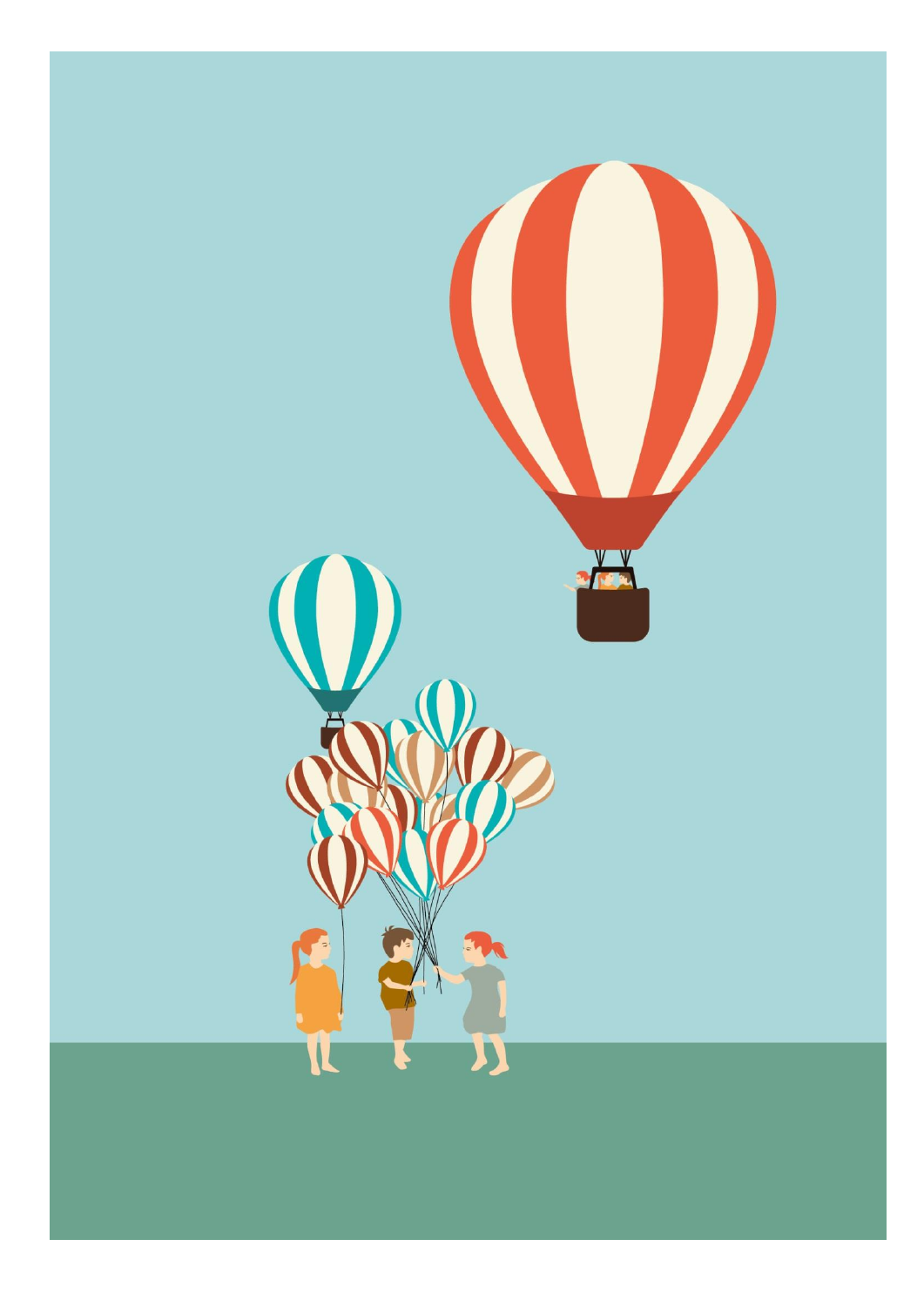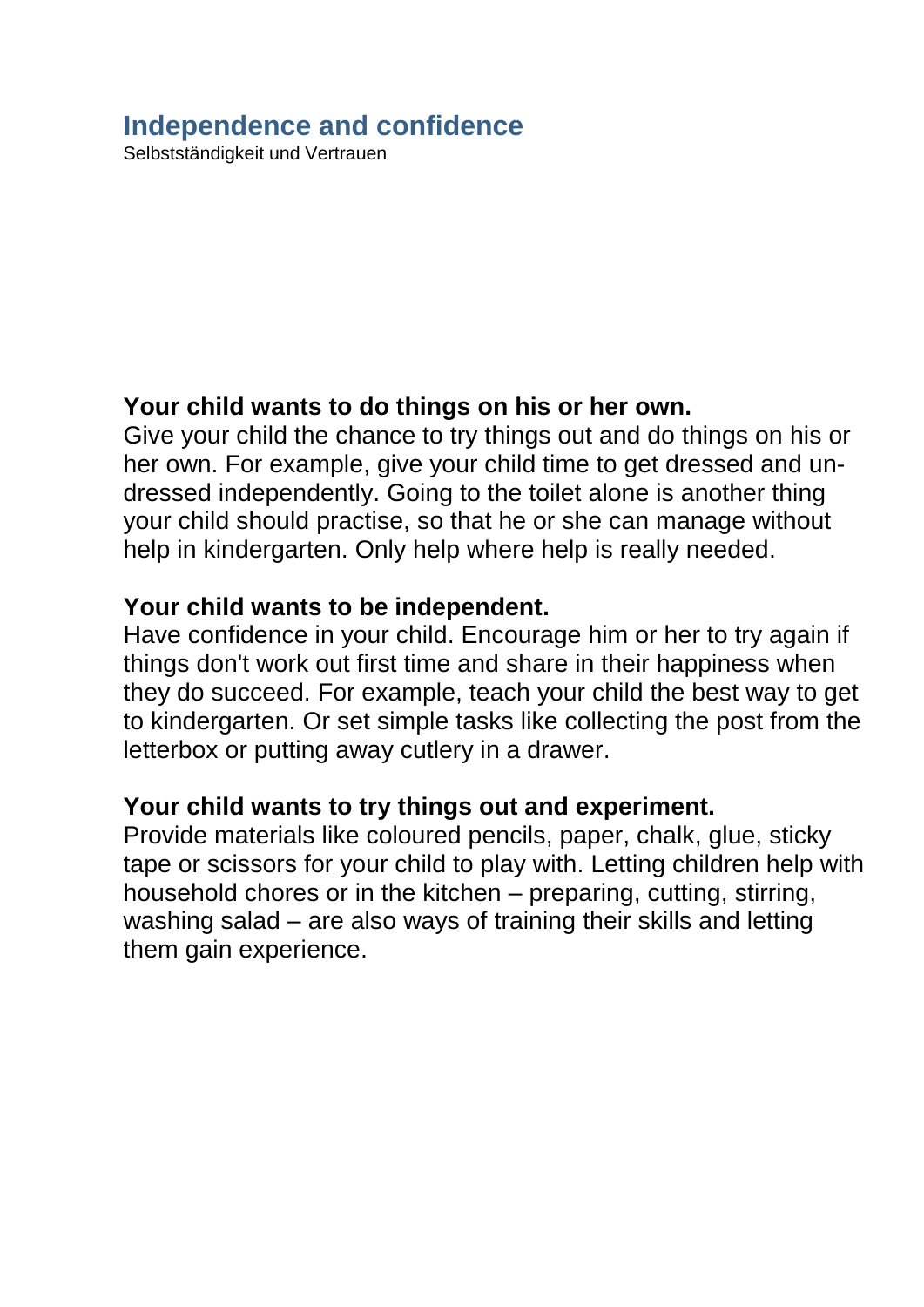# **Independence and confidence**

Selbstständigkeit und Vertrauen

#### **Your child wants to do things on his or her own.**

Give your child the chance to try things out and do things on his or her own. For example, give your child time to get dressed and undressed independently. Going to the toilet alone is another thing your child should practise, so that he or she can manage without help in kindergarten. Only help where help is really needed.

#### **Your child wants to be independent.**

Have confidence in your child. Encourage him or her to try again if things don't work out first time and share in their happiness when they do succeed. For example, teach your child the best way to get to kindergarten. Or set simple tasks like collecting the post from the letterbox or putting away cutlery in a drawer.

### **Your child wants to try things out and experiment.**

Provide materials like coloured pencils, paper, chalk, glue, sticky tape or scissors for your child to play with. Letting children help with household chores or in the kitchen – preparing, cutting, stirring, washing salad – are also ways of training their skills and letting them gain experience.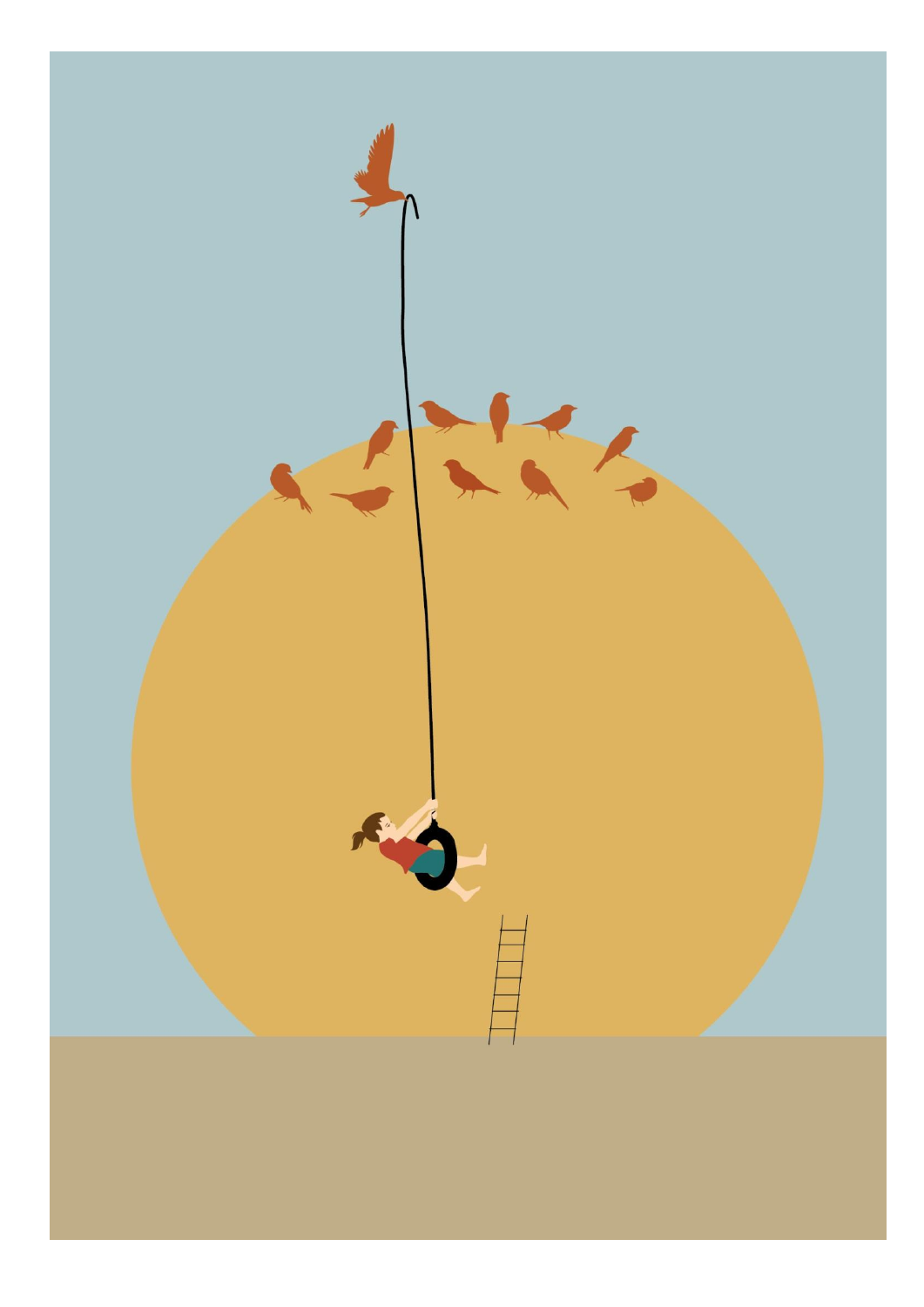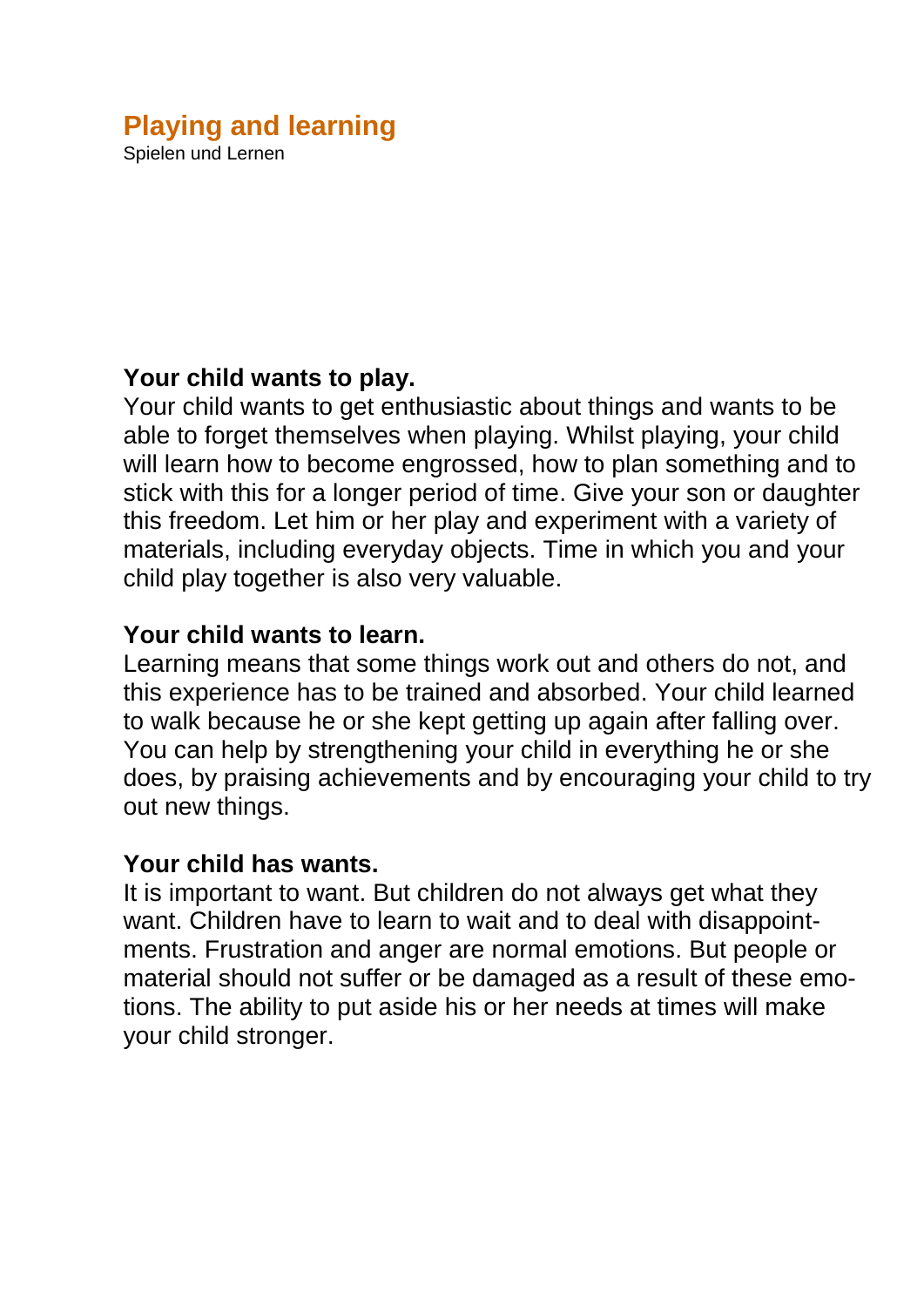#### **Playing and learning**  Spielen und Lernen

**Your child wants to play.**

Your child wants to get enthusiastic about things and wants to be able to forget themselves when playing. Whilst playing, your child will learn how to become engrossed, how to plan something and to stick with this for a longer period of time. Give your son or daughter this freedom. Let him or her play and experiment with a variety of materials, including everyday objects. Time in which you and your child play together is also very valuable.

### **Your child wants to learn.**

Learning means that some things work out and others do not, and this experience has to be trained and absorbed. Your child learned to walk because he or she kept getting up again after falling over. You can help by strengthening your child in everything he or she does, by praising achievements and by encouraging your child to try out new things.

#### **Your child has wants.**

It is important to want. But children do not always get what they want. Children have to learn to wait and to deal with disappointments. Frustration and anger are normal emotions. But people or material should not suffer or be damaged as a result of these emotions. The ability to put aside his or her needs at times will make your child stronger.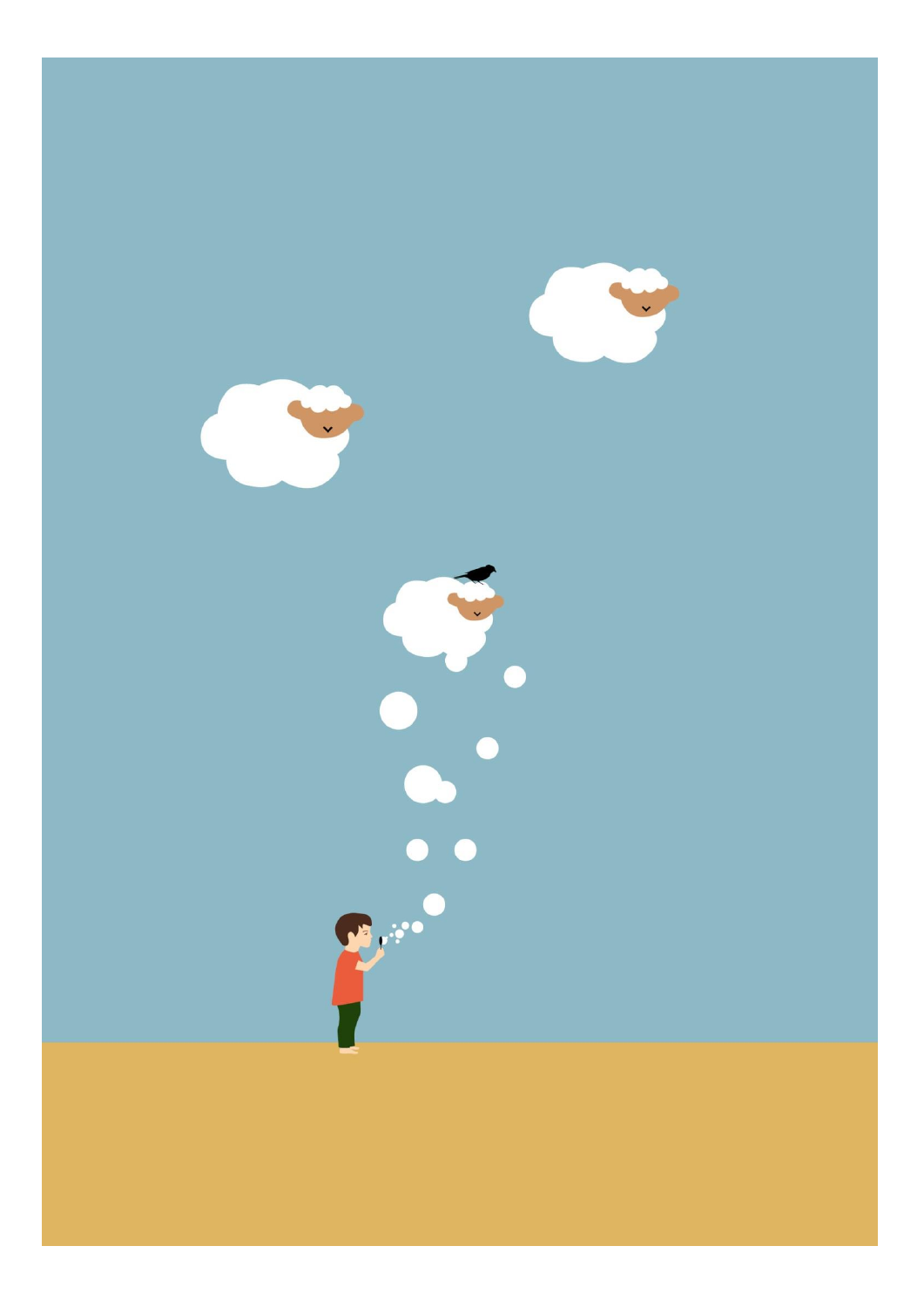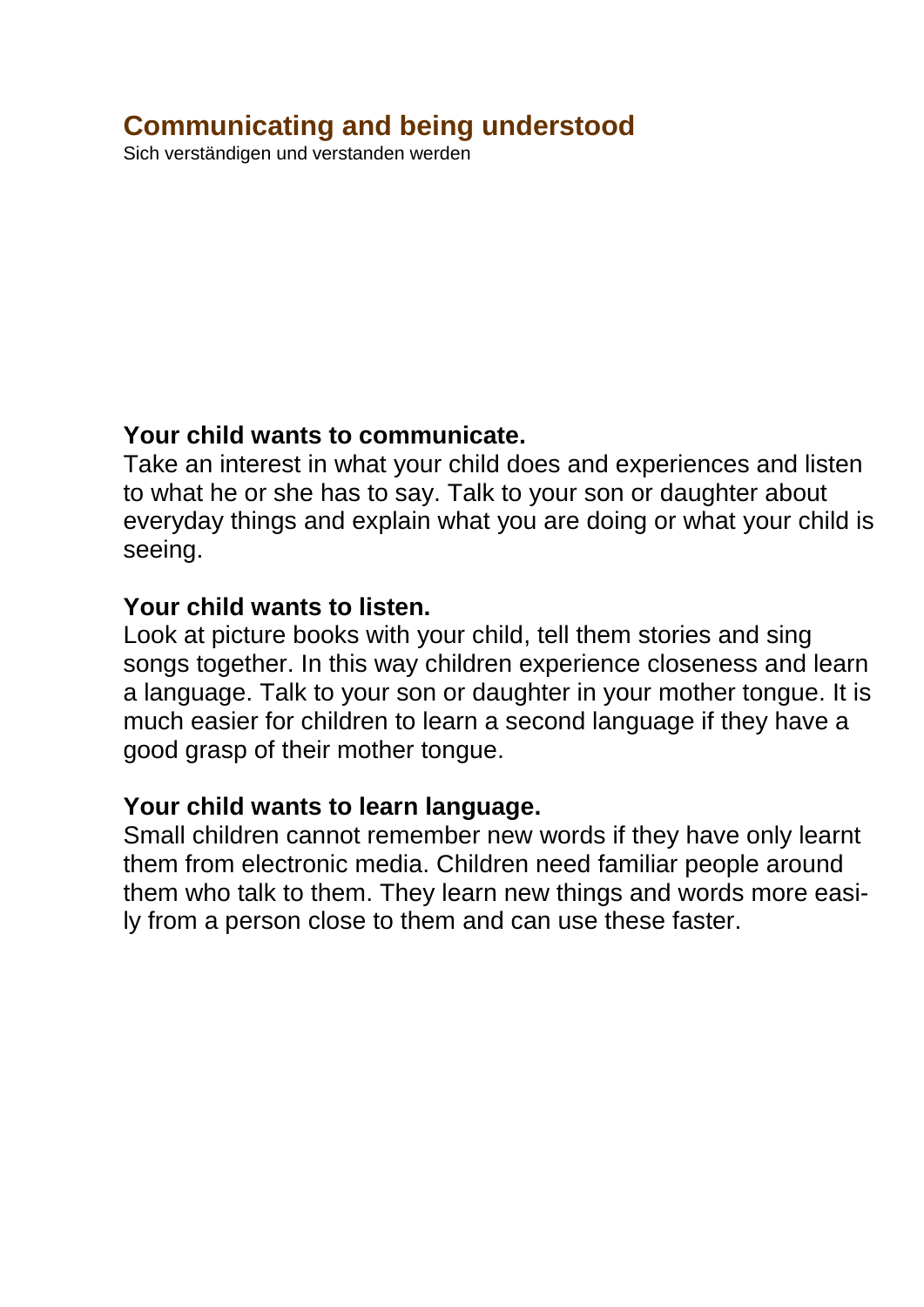# **Communicating and being understood**

Sich verständigen und verstanden werden

#### **Your child wants to communicate.**

Take an interest in what your child does and experiences and listen to what he or she has to say. Talk to your son or daughter about everyday things and explain what you are doing or what your child is seeing.

### **Your child wants to listen.**

Look at picture books with your child, tell them stories and sing songs together. In this way children experience closeness and learn a language. Talk to your son or daughter in your mother tongue. It is much easier for children to learn a second language if they have a good grasp of their mother tongue.

#### **Your child wants to learn language.**

Small children cannot remember new words if they have only learnt them from electronic media. Children need familiar people around them who talk to them. They learn new things and words more easily from a person close to them and can use these faster.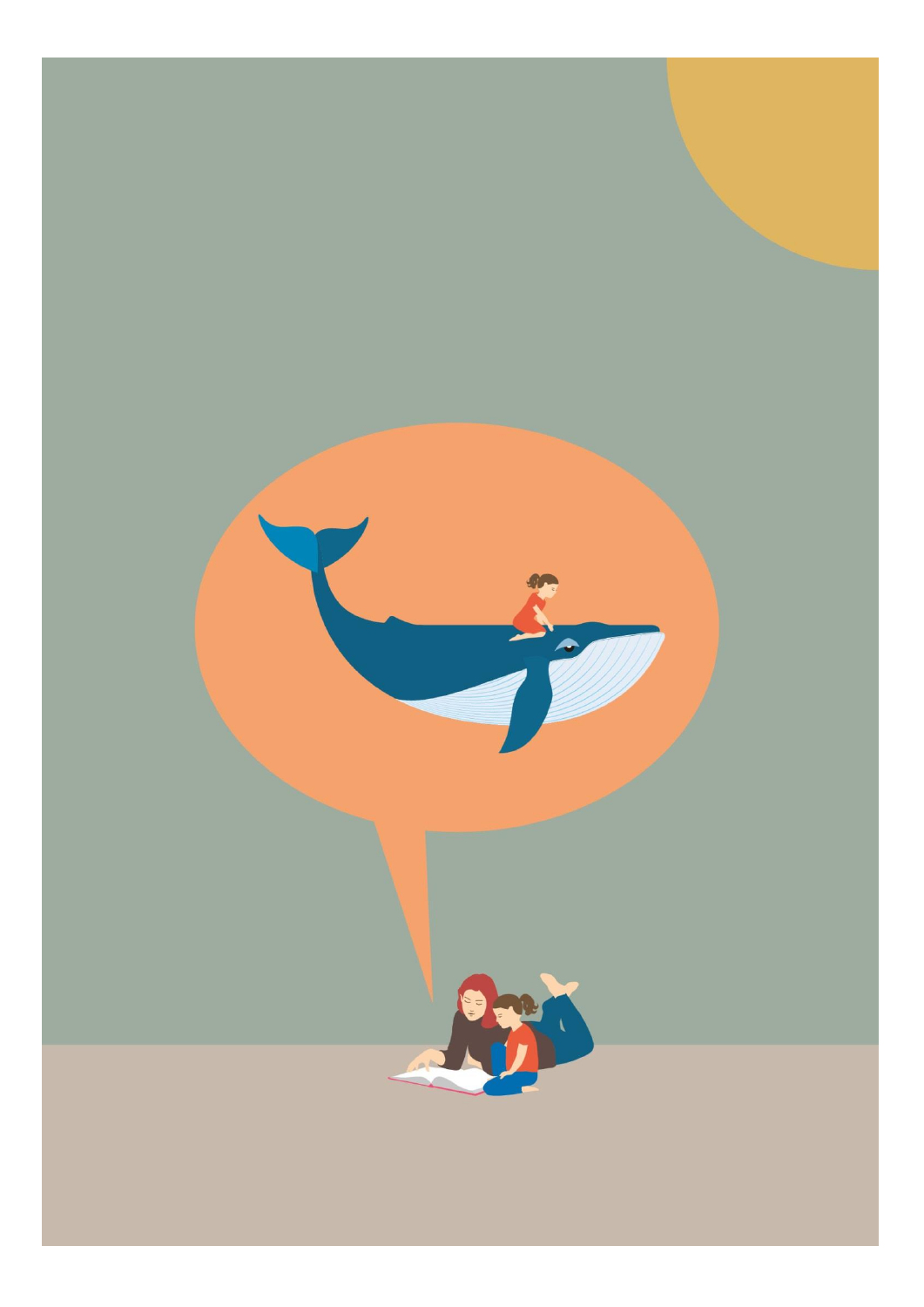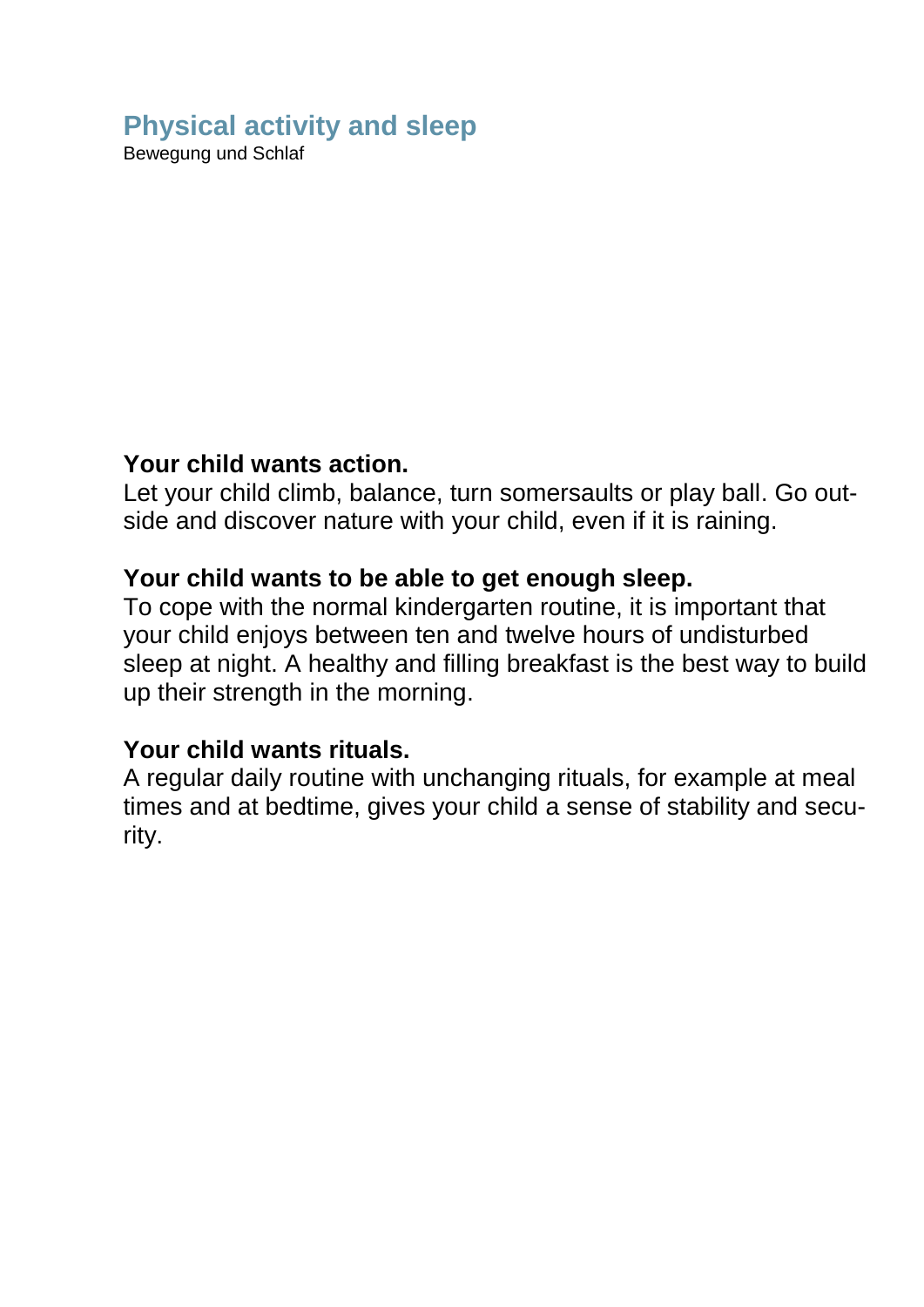### **Physical activity and sleep**

Bewegung und Schlaf

#### **Your child wants action.**

Let your child climb, balance, turn somersaults or play ball. Go outside and discover nature with your child, even if it is raining.

#### **Your child wants to be able to get enough sleep.**

To cope with the normal kindergarten routine, it is important that your child enjoys between ten and twelve hours of undisturbed sleep at night. A healthy and filling breakfast is the best way to build up their strength in the morning.

#### **Your child wants rituals.**

A regular daily routine with unchanging rituals, for example at meal times and at bedtime, gives your child a sense of stability and security.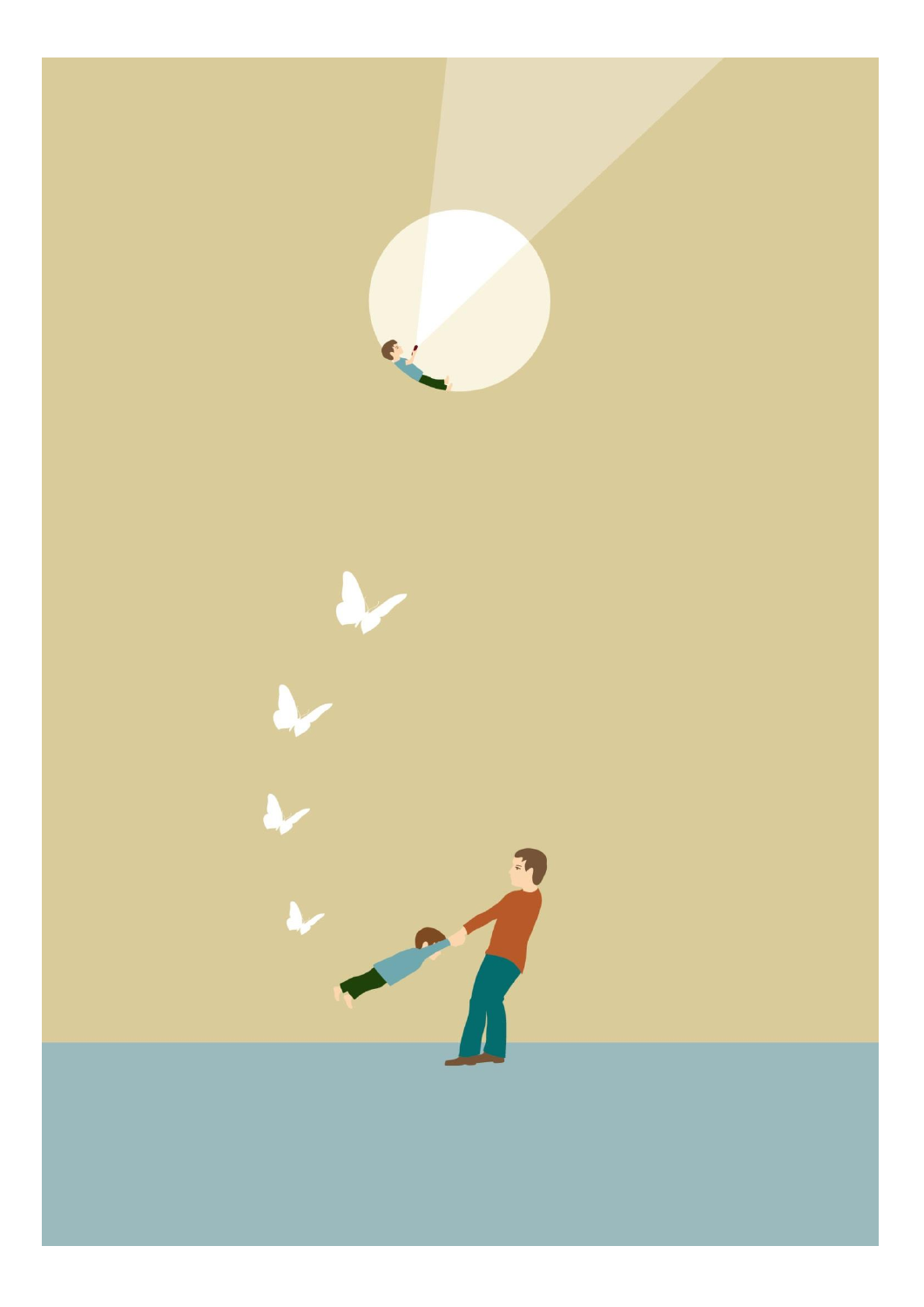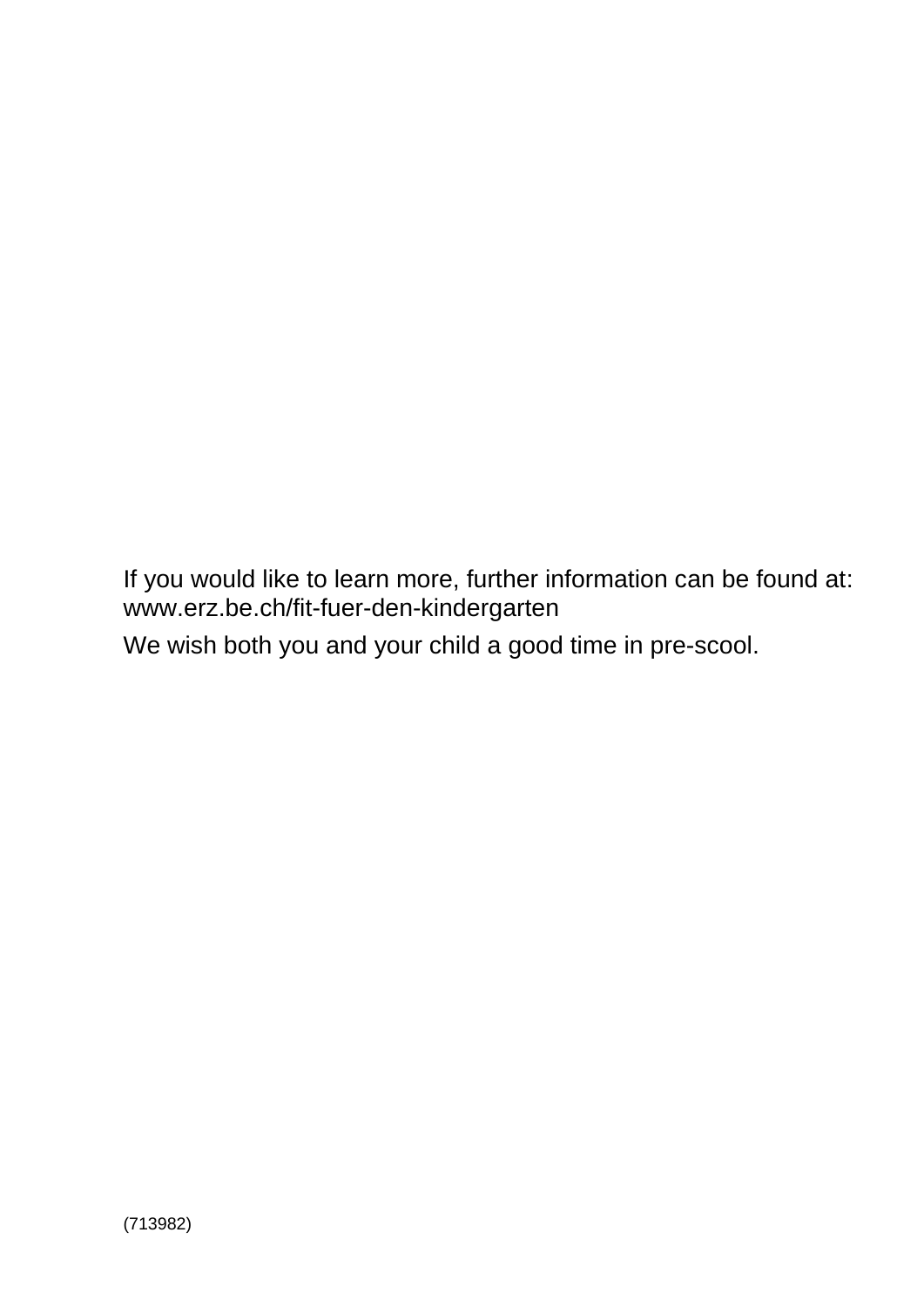If you would like to learn more, further information can be found at: www.erz.be.ch/fit-fuer-den-kindergarten

We wish both you and your child a good time in pre-scool.